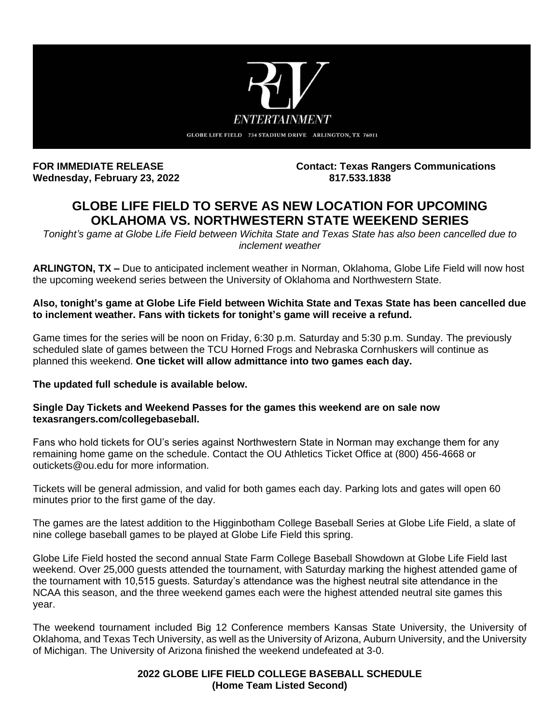

**Wednesday, February 23, 2022.** 

**FOR IMMEDIATE RELEASE Contact: Texas Rangers Communications**

# **GLOBE LIFE FIELD TO SERVE AS NEW LOCATION FOR UPCOMING OKLAHOMA VS. NORTHWESTERN STATE WEEKEND SERIES**

*Tonight's game at Globe Life Field between Wichita State and Texas State has also been cancelled due to inclement weather*

**ARLINGTON, TX –** Due to anticipated inclement weather in Norman, Oklahoma, Globe Life Field will now host the upcoming weekend series between the University of Oklahoma and Northwestern State.

## **Also, tonight's game at Globe Life Field between Wichita State and Texas State has been cancelled due to inclement weather. Fans with tickets for tonight's game will receive a refund.**

Game times for the series will be noon on Friday, 6:30 p.m. Saturday and 5:30 p.m. Sunday. The previously scheduled slate of games between the TCU Horned Frogs and Nebraska Cornhuskers will continue as planned this weekend. **One ticket will allow admittance into two games each day.**

## **The updated full schedule is available below.**

### **Single Day Tickets and Weekend Passes for the games this weekend are on sale now texasrangers.com/collegebaseball.**

Fans who hold tickets for OU's series against Northwestern State in Norman may exchange them for any remaining home game on the schedule. Contact the OU Athletics Ticket Office at (800) 456-4668 or outickets@ou.edu for more information.

Tickets will be general admission, and valid for both games each day. Parking lots and gates will open 60 minutes prior to the first game of the day.

The games are the latest addition to the Higginbotham College Baseball Series at Globe Life Field, a slate of nine college baseball games to be played at Globe Life Field this spring.

Globe Life Field hosted the second annual State Farm College Baseball Showdown at Globe Life Field last weekend. Over 25,000 guests attended the tournament, with Saturday marking the highest attended game of the tournament with 10,515 guests. Saturday's attendance was the highest neutral site attendance in the NCAA this season, and the three weekend games each were the highest attended neutral site games this year.

The weekend tournament included Big 12 Conference members Kansas State University, the University of Oklahoma, and Texas Tech University, as well as the University of Arizona, Auburn University, and the University of Michigan. The University of Arizona finished the weekend undefeated at 3-0.

## **2022 GLOBE LIFE FIELD COLLEGE BASEBALL SCHEDULE (Home Team Listed Second)**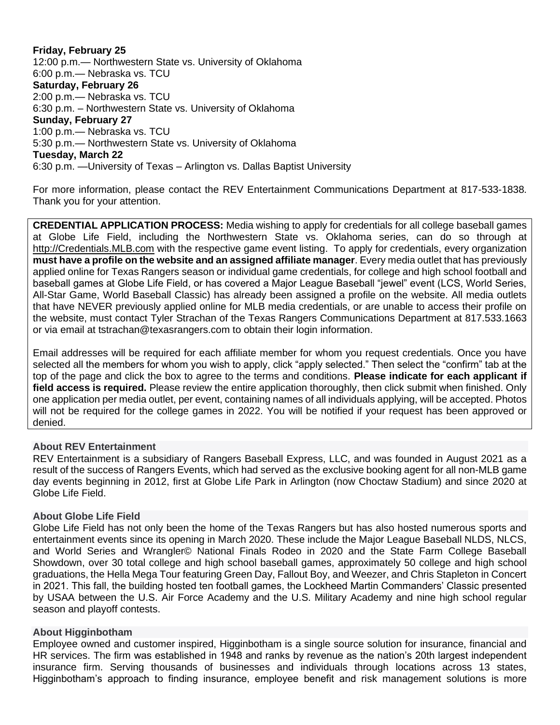**Friday, February 25**  12:00 p.m.— Northwestern State vs. University of Oklahoma 6:00 p.m.— Nebraska vs. TCU **Saturday, February 26** 2:00 p.m.— Nebraska vs. TCU 6:30 p.m. – Northwestern State vs. University of Oklahoma **Sunday, February 27** 1:00 p.m.— Nebraska vs. TCU 5:30 p.m.— Northwestern State vs. University of Oklahoma **Tuesday, March 22**  6:30 p.m. —University of Texas – Arlington vs. Dallas Baptist University

For more information, please contact the REV Entertainment Communications Department at 817-533-1838. Thank you for your attention.

**CREDENTIAL APPLICATION PROCESS:** Media wishing to apply for credentials for all college baseball games at Globe Life Field, including the Northwestern State vs. Oklahoma series, can do so through at [http://Credentials.MLB.com](https://protect-us.mimecast.com/s/SwaaCmZ27Vi5oAAGSGjw1s?domain=credentials.mlb.com) with the respective game event listing. To apply for credentials, every organization **must have a profile on the website and an assigned affiliate manager**. Every media outlet that has previously applied online for Texas Rangers season or individual game credentials, for college and high school football and baseball games at Globe Life Field, or has covered a Major League Baseball "jewel" event (LCS, World Series, All-Star Game, World Baseball Classic) has already been assigned a profile on the website. All media outlets that have NEVER previously applied online for MLB media credentials, or are unable to access their profile on the website, must contact Tyler Strachan of the Texas Rangers Communications Department at 817.533.1663 or via email at tstrachan@texasrangers.com to obtain their login information.

Email addresses will be required for each affiliate member for whom you request credentials. Once you have selected all the members for whom you wish to apply, click "apply selected." Then select the "confirm" tab at the top of the page and click the box to agree to the terms and conditions. **Please indicate for each applicant if field access is required.** Please review the entire application thoroughly, then click submit when finished. Only one application per media outlet, per event, containing names of all individuals applying, will be accepted. Photos will not be required for the college games in 2022. You will be notified if your request has been approved or denied.

#### **About REV Entertainment**

REV Entertainment is a subsidiary of Rangers Baseball Express, LLC, and was founded in August 2021 as a result of the success of Rangers Events, which had served as the exclusive booking agent for all non-MLB game day events beginning in 2012, first at Globe Life Park in Arlington (now Choctaw Stadium) and since 2020 at Globe Life Field.

#### **About Globe Life Field**

Globe Life Field has not only been the home of the Texas Rangers but has also hosted numerous sports and entertainment events since its opening in March 2020. These include the Major League Baseball NLDS, NLCS, and World Series and Wrangler© National Finals Rodeo in 2020 and the State Farm College Baseball Showdown, over 30 total college and high school baseball games, approximately 50 college and high school graduations, the Hella Mega Tour featuring Green Day, Fallout Boy, and Weezer, and Chris Stapleton in Concert in 2021. This fall, the building hosted ten football games, the Lockheed Martin Commanders' Classic presented by USAA between the U.S. Air Force Academy and the U.S. Military Academy and nine high school regular season and playoff contests.

#### **About Higginbotham**

Employee owned and customer inspired, Higginbotham is a single source solution for insurance, financial and HR services. The firm was established in 1948 and ranks by revenue as the nation's 20th largest independent insurance firm. Serving thousands of businesses and individuals through locations across 13 states, Higginbotham's approach to finding insurance, employee benefit and risk management solutions is more